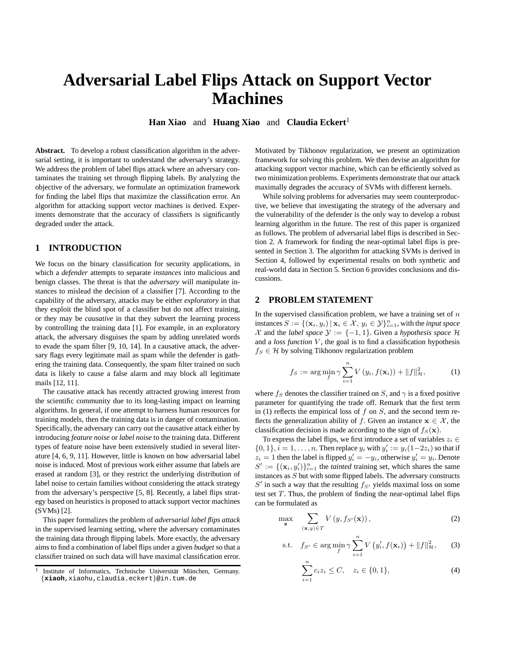# **Adversarial Label Flips Attack on Support Vector Machines**

**Han Xiao** and **Huang Xiao** and **Claudia Eckert**<sup>1</sup>

**Abstract.** To develop a robust classification algorithm in the adversarial setting, it is important to understand the adversary's strategy. We address the problem of label flips attack where an adversary contaminates the training set through flipping labels. By analyzing the objective of the adversary, we formulate an optimization framework for finding the label flips that maximize the classification error. An algorithm for attacking support vector machines is derived. Experiments demonstrate that the accuracy of classifiers is significantly degraded under the attack.

## **1 INTRODUCTION**

We focus on the binary classification for security applications, in which a *defender* attempts to separate *instances* into malicious and benign classes. The threat is that the *adversary* will manipulate instances to mislead the decision of a classifier [7]. According to the capability of the adversary, attacks may be either *exploratory* in that they exploit the blind spot of a classifier but do not affect training, or they may be *causative* in that they subvert the learning process by controlling the training data [1]. For example, in an exploratory attack, the adversary disguises the spam by adding unrelated words to evade the spam filter [9, 10, 14]. In a causative attack, the adversary flags every legitimate mail as spam while the defender is gathering the training data. Consequently, the spam filter trained on such data is likely to cause a false alarm and may block all legitimate mails [12, 11].

The causative attack has recently attracted growing interest from the scientific community due to its long-lasting impact on learning algorithms. In general, if one attempt to harness human resources for training models, then the training data is in danger of contamination. Specifically, the adversary can carry out the causative attack either by introducing *feature noise* or *label noise* to the training data. Different types of feature noise have been extensively studied in several literature [4, 6, 9, 11]. However, little is known on how adversarial label noise is induced. Most of previous work either assume that labels are erased at random [3], or they restrict the underlying distribution of label noise to certain families without considering the attack strategy from the adversary's perspective [5, 8]. Recently, a label flips strategy based on heuristics is proposed to attack support vector machines (SVMs) [2].

This paper formalizes the problem of *adversarial label flips attack* in the supervised learning setting, where the adversary contaminates the training data through flipping labels. More exactly, the adversary aims to find a combination of label flips under a given *budget* so that a classifier trained on such data will have maximal classification error.

Motivated by Tikhonov regularization, we present an optimization framework for solving this problem. We then devise an algorithm for attacking support vector machine, which can be efficiently solved as two minimization problems. Experiments demonstrate that our attack maximally degrades the accuracy of SVMs with different kernels.

While solving problems for adversaries may seem counterproductive, we believe that investigating the strategy of the adversary and the vulnerability of the defender is the only way to develop a robust learning algorithm in the future. The rest of this paper is organized as follows. The problem of adversarial label flips is described in Section 2. A framework for finding the near-optimal label flips is presented in Section 3. The algorithm for attacking SVMs is derived in Section 4, followed by experimental results on both synthetic and real-world data in Section 5. Section 6 provides conclusions and discussions.

## **2 PROBLEM STATEMENT**

In the supervised classification problem, we have a training set of  $n$ instances  $S := \{(\mathbf{x}_i, y_i) | \mathbf{x}_i \in \mathcal{X}, y_i \in \mathcal{Y}\}_{i=1}^n$ , with the *input space*  $\mathcal X$  and the *label space*  $\mathcal Y := \{-1, 1\}$ . Given a *hypothesis space*  $\mathcal H$ and a *loss function* V, the goal is to find a classification hypothesis  $f_S \in \mathcal{H}$  by solving Tikhonov regularization problem

$$
f_S := \arg\min_{f} \gamma \sum_{i=1}^{n} V(y_i, f(\mathbf{x}_i)) + ||f||_{\mathcal{H}}^2,
$$
 (1)

where  $f_S$  denotes the classifier trained on S, and  $\gamma$  is a fixed positive parameter for quantifying the trade off. Remark that the first term in (1) reflects the empirical loss of  $f$  on  $S$ , and the second term reflects the generalization ability of f. Given an instance  $x \in \mathcal{X}$ , the classification decision is made according to the sign of  $f_S(\mathbf{x})$ .

To express the label flips, we first introduce a set of variables  $z_i \in$  $\{0, 1\}, i = 1, \dots, n$ . Then replace  $y_i$  with  $y'_i := y_i(1-2z_i)$  so that if  $z_i = 1$  then the label is flipped  $y'_i = -y_i$ , otherwise  $y'_i = y_i$ . Denote  $S' := \{(\mathbf{x}_i, y'_i)\}_{i=1}^n$  the *tainted* training set, which shares the same instances as S but with some flipped labels. The adversary constructs  $S'$  in such a way that the resulting  $f_{S'}$  yields maximal loss on some test set  $T$ . Thus, the problem of finding the near-optimal label flips can be formulated as

$$
\max_{\mathbf{z}} \sum_{(\mathbf{x},y)\in T} V(y, f_{S'}(\mathbf{x})),
$$
\n(2)

$$
\text{s.t.} \quad f_{S'} \in \arg\min_{f} \gamma \sum_{i=1}^{n} V\left(y'_i, f(\mathbf{x}_i)\right) + ||f||_{\mathcal{H}}^2, \tag{3}
$$

$$
\sum_{i=1}^{n} c_i z_i \le C, \quad z_i \in \{0, 1\},\tag{4}
$$

<sup>&</sup>lt;sup>1</sup> Institute of Informatics, Technische Universität München, Germany. {**xiaoh**,xiaohu,claudia.eckert}@in.tum.de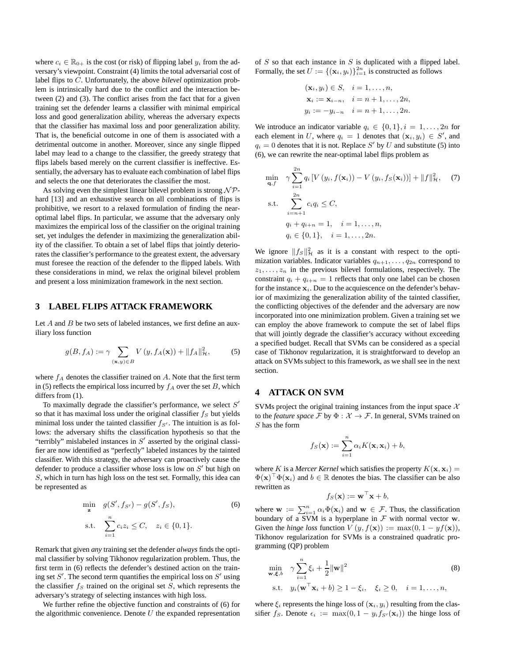where  $c_i \in \mathbb{R}_{0+}$  is the cost (or risk) of flipping label  $y_i$  from the adversary's viewpoint. Constraint (4) limits the total adversarial cost of label flips to C. Unfortunately, the above *bilevel* optimization problem is intrinsically hard due to the conflict and the interaction between (2) and (3). The conflict arises from the fact that for a given training set the defender learns a classifier with minimal empirical loss and good generalization ability, whereas the adversary expects that the classifier has maximal loss and poor generalization ability. That is, the beneficial outcome in one of them is associated with a detrimental outcome in another. Moreover, since any single flipped label may lead to a change to the classifier, the greedy strategy that flips labels based merely on the current classifier is ineffective. Essentially, the adversary has to evaluate each combination of label flips and selects the one that deteriorates the classifier the most.

As solving even the simplest linear bilevel problem is strong  $\mathcal{NP}$ hard [13] and an exhaustive search on all combinations of flips is prohibitive, we resort to a relaxed formulation of finding the nearoptimal label flips. In particular, we assume that the adversary only maximizes the empirical loss of the classifier on the original training set, yet indulges the defender in maximizing the generalization ability of the classifier. To obtain a set of label flips that jointly deteriorates the classifier's performance to the greatest extent, the adversary must foresee the reaction of the defender to the flipped labels. With these considerations in mind, we relax the original bilevel problem and present a loss minimization framework in the next section.

#### **3 LABEL FLIPS ATTACK FRAMEWORK**

Let  $A$  and  $B$  be two sets of labeled instances, we first define an auxiliary loss function

$$
g(B, f_A) := \gamma \sum_{(\mathbf{x}, y) \in B} V(y, f_A(\mathbf{x})) + ||f_A||^2_{\mathcal{H}},
$$
 (5)

where  $f_A$  denotes the classifier trained on  $A$ . Note that the first term in (5) reflects the empirical loss incurred by  $f_A$  over the set B, which differs from  $(1)$ .

To maximally degrade the classifier's performance, we select  $S'$ so that it has maximal loss under the original classifier  $f_S$  but yields minimal loss under the tainted classifier  $f_{S'}$ . The intuition is as follows: the adversary shifts the classification hypothesis so that the "terribly" mislabeled instances in  $S'$  asserted by the original classifier are now identified as "perfectly" labeled instances by the tainted classifier. With this strategy, the adversary can proactively cause the defender to produce a classifier whose loss is low on  $S'$  but high on S, which in turn has high loss on the test set. Formally, this idea can be represented as

$$
\min_{\mathbf{z}} \quad g(S', f_{S'}) - g(S', f_S),
$$
\n
$$
\text{s.t.} \quad \sum_{i=1}^{n} c_i z_i \le C, \quad z_i \in \{0, 1\}.
$$
\n(6)

Remark that given *any* training set the defender *always* finds the optimal classifier by solving Tikhonov regularization problem. Thus, the first term in (6) reflects the defender's destined action on the training set  $S'$ . The second term quantifies the empirical loss on  $S'$  using the classifier  $f<sub>S</sub>$  trained on the original set  $S$ , which represents the adversary's strategy of selecting instances with high loss.

We further refine the objective function and constraints of (6) for the algorithmic convenience. Denote  $U$  the expanded representation of  $S$  so that each instance in  $S$  is duplicated with a flipped label. Formally, the set  $U := \{(\mathbf{x}_i, y_i)\}_{i=1}^{2n}$  is constructed as follows

$$
(\mathbf{x}_i, y_i) \in S, \quad i = 1, \dots, n,
$$
  
\n
$$
\mathbf{x}_i := \mathbf{x}_{i-n}, \quad i = n+1, \dots, 2n,
$$
  
\n
$$
y_i := -y_{i-n}, \quad i = n+1, \dots, 2n.
$$

We introduce an indicator variable  $q_i \in \{0, 1\}, i = 1, \ldots, 2n$  for each element in U, where  $q_i = 1$  denotes that  $(\mathbf{x}_i, y_i) \in S'$ , and  $q_i = 0$  denotes that it is not. Replace S' by U and substitute (5) into (6), we can rewrite the near-optimal label flips problem as

$$
\min_{\mathbf{q}, f} \quad \gamma \sum_{i=1}^{2n} q_i \left[ V(y_i, f(\mathbf{x}_i)) - V(y_i, f_S(\mathbf{x}_i)) \right] + ||f||_{\mathcal{H}}^2, \quad (7)
$$
\n
$$
\text{s.t.} \quad \sum_{i=n+1}^{2n} c_i q_i \le C,
$$
\n
$$
q_i + q_{i+n} = 1, \quad i = 1, \dots, n,
$$
\n
$$
q_i \in \{0, 1\}, \quad i = 1, \dots, 2n.
$$

We ignore  $||fs||^2_{\mathcal{H}}$  as it is a constant with respect to the optimization variables. Indicator variables  $q_{n+1}, \ldots, q_{2n}$  correspond to  $z_1, \ldots, z_n$  in the previous bilevel formulations, respectively. The constraint  $q_i + q_{i+n} = 1$  reflects that only one label can be chosen for the instance  $x_i$ . Due to the acquiescence on the defender's behavior of maximizing the generalization ability of the tainted classifier, the conflicting objectives of the defender and the adversary are now incorporated into one minimization problem. Given a training set we can employ the above framework to compute the set of label flips that will jointly degrade the classifier's accuracy without exceeding a specified budget. Recall that SVMs can be considered as a special case of Tikhonov regularization, it is straightforward to develop an attack on SVMs subject to this framework, as we shall see in the next section.

#### **4 ATTACK ON SVM**

SVMs project the original training instances from the input space  $X$ to the *feature space*  $\mathcal F$  by  $\Phi : \mathcal X \to \mathcal F$ . In general, SVMs trained on S has the form

$$
f_S(\mathbf{x}) := \sum_{i=1}^n \alpha_i K(\mathbf{x}, \mathbf{x}_i) + b,
$$

where K is a *Mercer Kernel* which satisfies the property  $K(\mathbf{x}, \mathbf{x}_i) =$  $\Phi(\mathbf{x})^{\top} \Phi(\mathbf{x}_i)$  and  $b \in \mathbb{R}$  denotes the bias. The classifier can be also rewritten as

$$
f_S(\mathbf{x}) := \mathbf{w}^\top \mathbf{x} + b,
$$

where  $\mathbf{w} := \sum_{i=1}^n \alpha_i \Phi(\mathbf{x}_i)$  and  $\mathbf{w} \in \mathcal{F}$ . Thus, the classification boundary of a SVM is a hyperplane in  $\mathcal F$  with normal vector w. Given the *hinge loss* function  $V(y, f(\mathbf{x})) := \max(0, 1 - yf(\mathbf{x})),$ Tikhonov regularization for SVMs is a constrained quadratic programming (QP) problem

$$
\min_{\mathbf{w}, \xi, b} \quad \gamma \sum_{i=1}^{n} \xi_i + \frac{1}{2} ||\mathbf{w}||^2
$$
\n
$$
\text{s.t.} \quad y_i(\mathbf{w}^\top \mathbf{x}_i + b) \ge 1 - \xi_i, \quad \xi_i \ge 0, \quad i = 1, \dots, n,
$$
\n(8)

where  $\xi_i$  represents the hinge loss of  $(\mathbf{x}_i, y_i)$  resulting from the classifier fs. Denote  $\epsilon_i := \max(0, 1 - y_i f_{S'}(\mathbf{x}_i))$  the hinge loss of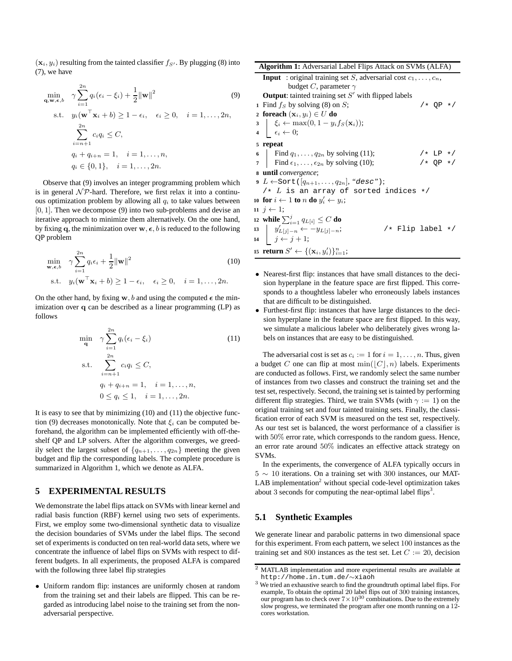$(\mathbf{x}_i, y_i)$  resulting from the tainted classifier  $f_{S'}$ . By plugging (8) into (7), we have

$$
\min_{\mathbf{q}, \mathbf{w}, \epsilon, b} \quad \gamma \sum_{i=1}^{2n} q_i(\epsilon_i - \xi_i) + \frac{1}{2} ||\mathbf{w}||^2 \tag{9}
$$
\n
$$
\text{s.t.} \quad y_i(\mathbf{w}^\top \mathbf{x}_i + b) \ge 1 - \epsilon_i, \quad \epsilon_i \ge 0, \quad i = 1, \dots, 2n,
$$
\n
$$
\sum_{i=n+1}^{2n} c_i q_i \le C,
$$
\n
$$
q_i + q_{i+n} = 1, \quad i = 1, \dots, n,
$$
\n
$$
q_i \in \{0, 1\}, \quad i = 1, \dots, 2n.
$$

Observe that (9) involves an integer programming problem which is in general  $N\mathcal{P}$ -hard. Therefore, we first relax it into a continuous optimization problem by allowing all  $q_i$  to take values between [0, 1]. Then we decompose (9) into two sub-problems and devise an iterative approach to minimize them alternatively. On the one hand, by fixing q, the minimization over  $w, \epsilon, b$  is reduced to the following QP problem

$$
\min_{\mathbf{w}, \epsilon, b} \quad \gamma \sum_{i=1}^{2n} q_i \epsilon_i + \frac{1}{2} ||\mathbf{w}||^2
$$
\n
$$
\text{s.t.} \quad y_i(\mathbf{w}^\top \mathbf{x}_i + b) \ge 1 - \epsilon_i, \quad \epsilon_i \ge 0, \quad i = 1, \dots, 2n.
$$
\n(10)

On the other hand, by fixing w, b and using the computed  $\epsilon$  the minimization over q can be described as a linear programming (LP) as follows

$$
\min_{\mathbf{q}} \quad \gamma \sum_{i=1}^{2n} q_i (\epsilon_i - \xi_i) \tag{11}
$$
\n
$$
\text{s.t.} \quad \sum_{i=n+1}^{2n} c_i q_i \le C,
$$
\n
$$
q_i + q_{i+n} = 1, \quad i = 1, \dots, n,
$$
\n
$$
0 \le q_i \le 1, \quad i = 1, \dots, 2n.
$$

It is easy to see that by minimizing (10) and (11) the objective function (9) decreases monotonically. Note that  $\xi_i$  can be computed beforehand, the algorithm can be implemented efficiently with off-theshelf QP and LP solvers. After the algorithm converges, we greedily select the largest subset of  $\{q_{n+1}, \ldots, q_{2n}\}$  meeting the given budget and flip the corresponding labels. The complete procedure is summarized in Algorithm 1, which we denote as ALFA.

## **5 EXPERIMENTAL RESULTS**

We demonstrate the label flips attack on SVMs with linear kernel and radial basis function (RBF) kernel using two sets of experiments. First, we employ some two-dimensional synthetic data to visualize the decision boundaries of SVMs under the label flips. The second set of experiments is conducted on ten real-world data sets, where we concentrate the influence of label flips on SVMs with respect to different budgets. In all experiments, the proposed ALFA is compared with the following three label flip strategies

• Uniform random flip: instances are uniformly chosen at random from the training set and their labels are flipped. This can be regarded as introducing label noise to the training set from the nonadversarial perspective.

| <b>Algorithm 1:</b> Adversarial Label Flips Attack on SVMs (ALFA) |                                                                                                                                           |  |                      |  |  |  |  |  |  |  |
|-------------------------------------------------------------------|-------------------------------------------------------------------------------------------------------------------------------------------|--|----------------------|--|--|--|--|--|--|--|
|                                                                   | <b>Input</b> : original training set S, adversarial cost $c_1, \ldots, c_n$ ,                                                             |  |                      |  |  |  |  |  |  |  |
|                                                                   | budget C, parameter $\gamma$                                                                                                              |  |                      |  |  |  |  |  |  |  |
|                                                                   | <b>Output:</b> tainted training set $S'$ with flipped labels                                                                              |  |                      |  |  |  |  |  |  |  |
|                                                                   | 1 Find $f_s$ by solving (8) on $S$ ;                                                                                                      |  | $/*$ QP $*/$         |  |  |  |  |  |  |  |
|                                                                   | 2 foreach $(\mathbf{x}_i, y_i) \in U$ do                                                                                                  |  |                      |  |  |  |  |  |  |  |
|                                                                   | 3 $\left\{\n \begin{array}{l}\n \xi_i \leftarrow \max(0, 1 - y_i f_S(\mathbf{x}_i)); \\  \epsilon_i \leftarrow 0;\n \end{array}\n\right.$ |  |                      |  |  |  |  |  |  |  |
|                                                                   |                                                                                                                                           |  |                      |  |  |  |  |  |  |  |
|                                                                   | 5 repeat                                                                                                                                  |  |                      |  |  |  |  |  |  |  |
|                                                                   |                                                                                                                                           |  | /* LP */<br>/* QP */ |  |  |  |  |  |  |  |
|                                                                   | 6 Find $q_1, \ldots, q_{2n}$ by solving (11);<br>7 Find $\epsilon_1, \ldots, \epsilon_{2n}$ by solving (10);                              |  |                      |  |  |  |  |  |  |  |
|                                                                   | <b>s</b> until <i>convergence</i> ;                                                                                                       |  |                      |  |  |  |  |  |  |  |
|                                                                   | 9 L $\leftarrow$ Sort( $[q_{n+1},\ldots,q_{2n}]$ , "desc");                                                                               |  |                      |  |  |  |  |  |  |  |
|                                                                   | /* $L$ is an array of sorted indices */                                                                                                   |  |                      |  |  |  |  |  |  |  |
|                                                                   | 10 for $i \leftarrow 1$ to n do $y'_i \leftarrow y_i$ ;                                                                                   |  |                      |  |  |  |  |  |  |  |
|                                                                   | $11 \t j \leftarrow 1;$                                                                                                                   |  |                      |  |  |  |  |  |  |  |
|                                                                   | 12 while $\sum_{i=1}^{j} q_{L[i]} \leq C$ do<br>13 $y'_{L[j]-n} \leftarrow -y_{L[j]-n};$<br>14 $j \leftarrow j+1;$                        |  |                      |  |  |  |  |  |  |  |
|                                                                   | $/*$ Flip label $*/$                                                                                                                      |  |                      |  |  |  |  |  |  |  |
|                                                                   |                                                                                                                                           |  |                      |  |  |  |  |  |  |  |
|                                                                   | 15 <b>return</b> $S' \leftarrow \{(\mathbf{x}_i, y'_i)\}_{i=1}^n$ ;                                                                       |  |                      |  |  |  |  |  |  |  |

- Nearest-first flip: instances that have small distances to the decision hyperplane in the feature space are first flipped. This corresponds to a thoughtless labeler who erroneously labels instances that are difficult to be distinguished.
- Furthest-first flip: instances that have large distances to the decision hyperplane in the feature space are first flipped. In this way, we simulate a malicious labeler who deliberately gives wrong labels on instances that are easy to be distinguished.

The adversarial cost is set as  $c_i := 1$  for  $i = 1, \ldots, n$ . Thus, given a budget C one can flip at most  $\min(|C|, n)$  labels. Experiments are conducted as follows. First, we randomly select the same number of instances from two classes and construct the training set and the test set, respectively. Second, the training set is tainted by performing different flip strategies. Third, we train SVMs (with  $\gamma := 1$ ) on the original training set and four tainted training sets. Finally, the classification error of each SVM is measured on the test set, respectively. As our test set is balanced, the worst performance of a classifier is with 50% error rate, which corresponds to the random guess. Hence, an error rate around 50% indicates an effective attack strategy on SVMs.

In the experiments, the convergence of ALFA typically occurs in 5 ∼ 10 iterations. On a training set with 300 instances, our MAT- $LAB$  implementation<sup>2</sup> without special code-level optimization takes about 3 seconds for computing the near-optimal label flips<sup>3</sup>.

#### **5.1 Synthetic Examples**

We generate linear and parabolic patterns in two dimensional space for this experiment. From each pattern, we select 100 instances as the training set and 800 instances as the test set. Let  $C := 20$ , decision

 $\sqrt{2}$  MATLAB implementation and more experimental results are available at http://home.in.tum.de/∼xiaoh

<sup>&</sup>lt;sup>3</sup> We tried an exhaustive search to find the groundtruth optimal label flips. For example, To obtain the optimal 20 label flips out of 300 training instances, our program has to check over  $7 \times 10^{30}$  combinations. Due to the extremely slow progress, we terminated the program after one month running on a 12 cores workstation.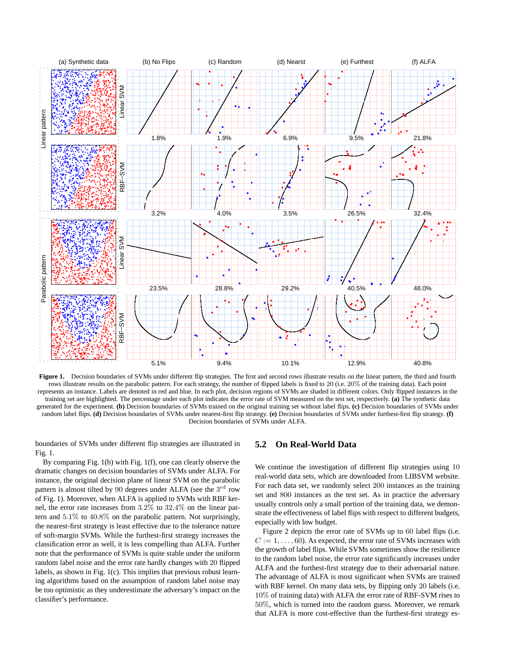

Figure 1. Decision boundaries of SVMs under different flip strategies. The first and second rows illustrate results on the linear pattern, the third and fourth rows illustrate results on the parabolic pattern. For each strategy, the number of flipped labels is fixed to 20 (i.e. 20% of the training data). Each point represents an instance. Labels are denoted in red and blue. In each plot, decision regions of SVMs are shaded in different colors. Only flipped instances in the training set are highlighted. The percentage under each plot indicates the error rate of SVM measured on the test set, respectively. **(a)** The synthetic data generated for the experiment. **(b)** Decision boundaries of SVMs trained on the original training set without label flips. **(c)** Decision boundaries of SVMs under random label flips. **(d)** Decision boundaries of SVMs under nearest-first flip strategy. **(e)** Decision boundaries of SVMs under furthest-first flip strategy. **(f)** Decision boundaries of SVMs under ALFA.

boundaries of SVMs under different flip strategies are illustrated in Fig. 1.

By comparing Fig. 1(b) with Fig. 1(f), one can clearly observe the dramatic changes on decision boundaries of SVMs under ALFA. For instance, the original decision plane of linear SVM on the parabolic pattern is almost tilted by 90 degrees under ALFA (see the  $3<sup>rd</sup>$  row of Fig. 1). Moreover, when ALFA is applied to SVMs with RBF kernel, the error rate increases from 3.2% to 32.4% on the linear pattern and 5.1% to 40.8% on the parabolic pattern. Not surprisingly, the nearest-first strategy is least effective due to the tolerance nature of soft-margin SVMs. While the furthest-first strategy increases the classification error as well, it is less compelling than ALFA. Further note that the performance of SVMs is quite stable under the uniform random label noise and the error rate hardly changes with 20 flipped labels, as shown in Fig. 1(c). This implies that previous robust learning algorithms based on the assumption of random label noise may be too optimistic as they underestimate the adversary's impact on the classifier's performance.

#### **5.2 On Real-World Data**

We continue the investigation of different flip strategies using 10 real-world data sets, which are downloaded from LIBSVM website. For each data set, we randomly select 200 instances as the training set and 800 instances as the test set. As in practice the adversary usually controls only a small portion of the training data, we demonstrate the effectiveness of label flips with respect to different budgets, especially with low budget.

Figure 2 depicts the error rate of SVMs up to 60 label flips (i.e.  $C := 1, \ldots, 60$ . As expected, the error rate of SVMs increases with the growth of label flips. While SVMs sometimes show the resilience to the random label noise, the error rate significantly increases under ALFA and the furthest-first strategy due to their adversarial nature. The advantage of ALFA is most significant when SVMs are trained with RBF kernel. On many data sets, by flipping only 20 labels (i.e. 10% of training data) with ALFA the error rate of RBF-SVM rises to 50%, which is turned into the random guess. Moreover, we remark that ALFA is more cost-effective than the furthest-first strategy es-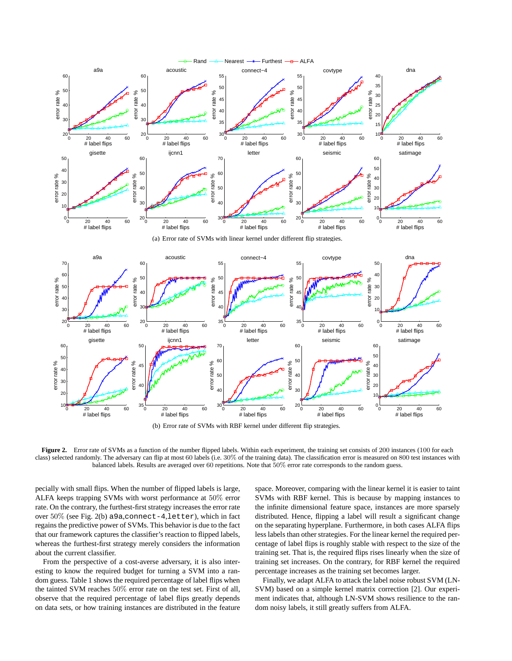

(b) Error rate of SVMs with RBF kernel under different flip strategies.

Figure 2. Error rate of SVMs as a function of the number flipped labels. Within each experiment, the training set consists of 200 instances (100 for each class) selected randomly. The adversary can flip at most 60 labels (i.e. 30% of the training data). The classification error is measured on 800 test instances with balanced labels. Results are averaged over 60 repetitions. Note that 50% error rate corresponds to the random guess.

pecially with small flips. When the number of flipped labels is large, ALFA keeps trapping SVMs with worst performance at 50% error rate. On the contrary, the furthest-first strategy increases the error rate over 50% (see Fig. 2(b) a9a,connect-4,letter), which in fact regains the predictive power of SVMs. This behavior is due to the fact that our framework captures the classifier's reaction to flipped labels, whereas the furthest-first strategy merely considers the information about the current classifier.

From the perspective of a cost-averse adversary, it is also interesting to know the required budget for turning a SVM into a random guess. Table 1 shows the required percentage of label flips when the tainted SVM reaches 50% error rate on the test set. First of all, observe that the required percentage of label flips greatly depends on data sets, or how training instances are distributed in the feature

space. Moreover, comparing with the linear kernel it is easier to taint SVMs with RBF kernel. This is because by mapping instances to the infinite dimensional feature space, instances are more sparsely distributed. Hence, flipping a label will result a significant change on the separating hyperplane. Furthermore, in both cases ALFA flips less labels than other strategies. For the linear kernel the required percentage of label flips is roughly stable with respect to the size of the training set. That is, the required flips rises linearly when the size of training set increases. On the contrary, for RBF kernel the required percentage increases as the training set becomes larger.

Finally, we adapt ALFA to attack the label noise robust SVM (LN-SVM) based on a simple kernel matrix correction [2]. Our experiment indicates that, although LN-SVM shows resilience to the random noisy labels, it still greatly suffers from ALFA.